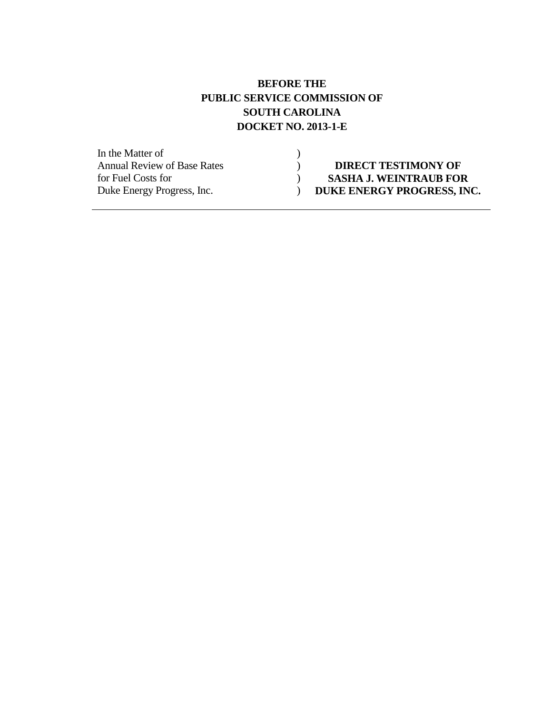### **BEFORE THE PUBLIC SERVICE COMMISSION OF SOUTH CAROLINA DOCKET NO. 2013-1-E**

In the Matter of (1)<br>Annual Review of Base Rates (1)

**Annual Review OF Base Review OF** for Fuel Costs for (a) **SASHA J. WEINTRAUB FOR**<br>Duke Energy Progress, Inc. (b) **DUKE ENERGY PROGRESS, IN** Duke Energy Progress, Inc. ) **DUKE ENERGY PROGRESS, INC.**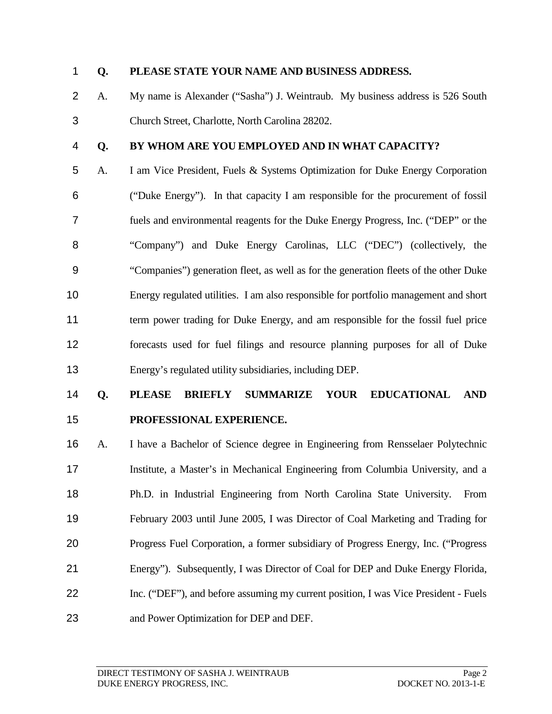#### **Q. PLEASE STATE YOUR NAME AND BUSINESS ADDRESS.**

- A. My name is Alexander ("Sasha") J. Weintraub. My business address is 526 South Church Street, Charlotte, North Carolina 28202.
- 

#### **Q. BY WHOM ARE YOU EMPLOYED AND IN WHAT CAPACITY?**

 A. I am Vice President, Fuels & Systems Optimization for Duke Energy Corporation ("Duke Energy"). In that capacity I am responsible for the procurement of fossil fuels and environmental reagents for the Duke Energy Progress, Inc. ("DEP" or the "Company") and Duke Energy Carolinas, LLC ("DEC") (collectively, the "Companies") generation fleet, as well as for the generation fleets of the other Duke Energy regulated utilities. I am also responsible for portfolio management and short term power trading for Duke Energy, and am responsible for the fossil fuel price forecasts used for fuel filings and resource planning purposes for all of Duke Energy's regulated utility subsidiaries, including DEP.

## **Q. PLEASE BRIEFLY SUMMARIZE YOUR EDUCATIONAL AND PROFESSIONAL EXPERIENCE.**

 A. I have a Bachelor of Science degree in Engineering from Rensselaer Polytechnic Institute, a Master's in Mechanical Engineering from Columbia University, and a Ph.D. in Industrial Engineering from North Carolina State University. From February 2003 until June 2005, I was Director of Coal Marketing and Trading for Progress Fuel Corporation, a former subsidiary of Progress Energy, Inc. ("Progress Energy"). Subsequently, I was Director of Coal for DEP and Duke Energy Florida, Inc. ("DEF"), and before assuming my current position, I was Vice President - Fuels and Power Optimization for DEP and DEF.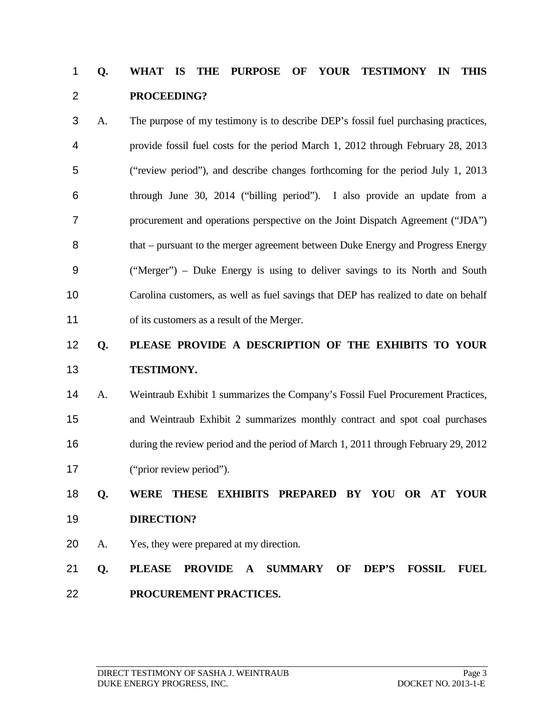## **Q. WHAT IS THE PURPOSE OF YOUR TESTIMONY IN THIS PROCEEDING?**

 A. The purpose of my testimony is to describe DEP's fossil fuel purchasing practices, provide fossil fuel costs for the period March 1, 2012 through February 28, 2013 ("review period"), and describe changes forthcoming for the period July 1, 2013 through June 30, 2014 ("billing period"). I also provide an update from a procurement and operations perspective on the Joint Dispatch Agreement ("JDA") that – pursuant to the merger agreement between Duke Energy and Progress Energy ("Merger") – Duke Energy is using to deliver savings to its North and South Carolina customers, as well as fuel savings that DEP has realized to date on behalf 11 of its customers as a result of the Merger.

## **Q. PLEASE PROVIDE A DESCRIPTION OF THE EXHIBITS TO YOUR TESTIMONY.**

 A. Weintraub Exhibit 1 summarizes the Company's Fossil Fuel Procurement Practices, and Weintraub Exhibit 2 summarizes monthly contract and spot coal purchases during the review period and the period of March 1, 2011 through February 29, 2012 ("prior review period").

## **Q. WERE THESE EXHIBITS PREPARED BY YOU OR AT YOUR DIRECTION?**

- A. Yes, they were prepared at my direction.
- **Q. PLEASE PROVIDE A SUMMARY OF DEP'S FOSSIL FUEL PROCUREMENT PRACTICES.**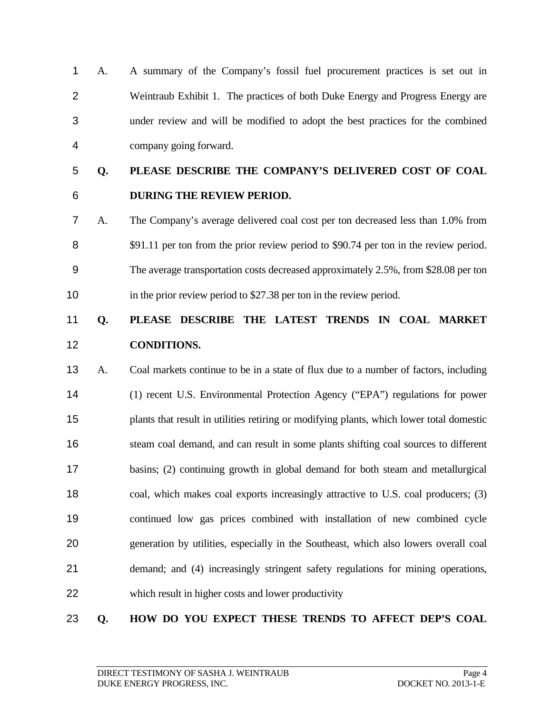A. A summary of the Company's fossil fuel procurement practices is set out in Weintraub Exhibit 1. The practices of both Duke Energy and Progress Energy are under review and will be modified to adopt the best practices for the combined company going forward.

## **Q. PLEASE DESCRIBE THE COMPANY'S DELIVERED COST OF COAL DURING THE REVIEW PERIOD.**

 A. The Company's average delivered coal cost per ton decreased less than 1.0% from 8 \$91.11 per ton from the prior review period to \$90.74 per ton in the review period. The average transportation costs decreased approximately 2.5%, from \$28.08 per ton 10 in the prior review period to \$27.38 per ton in the review period.

## **Q. PLEASE DESCRIBE THE LATEST TRENDS IN COAL MARKET CONDITIONS.**

 A. Coal markets continue to be in a state of flux due to a number of factors, including (1) recent U.S. Environmental Protection Agency ("EPA") regulations for power plants that result in utilities retiring or modifying plants, which lower total domestic 16 steam coal demand, and can result in some plants shifting coal sources to different basins; (2) continuing growth in global demand for both steam and metallurgical coal, which makes coal exports increasingly attractive to U.S. coal producers; (3) continued low gas prices combined with installation of new combined cycle generation by utilities, especially in the Southeast, which also lowers overall coal demand; and (4) increasingly stringent safety regulations for mining operations, which result in higher costs and lower productivity

### **Q. HOW DO YOU EXPECT THESE TRENDS TO AFFECT DEP'S COAL**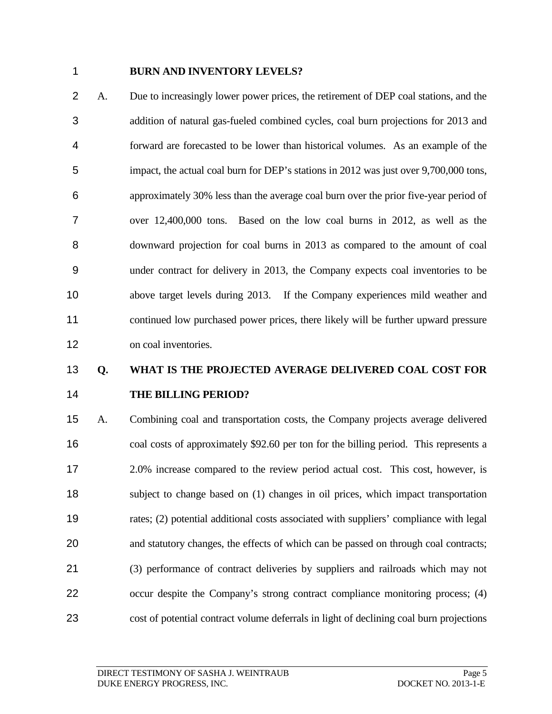#### **BURN AND INVENTORY LEVELS?**

 A. Due to increasingly lower power prices, the retirement of DEP coal stations, and the addition of natural gas-fueled combined cycles, coal burn projections for 2013 and forward are forecasted to be lower than historical volumes. As an example of the impact, the actual coal burn for DEP's stations in 2012 was just over 9,700,000 tons, approximately 30% less than the average coal burn over the prior five-year period of over 12,400,000 tons. Based on the low coal burns in 2012, as well as the downward projection for coal burns in 2013 as compared to the amount of coal under contract for delivery in 2013, the Company expects coal inventories to be above target levels during 2013. If the Company experiences mild weather and continued low purchased power prices, there likely will be further upward pressure 12 on coal inventories.

## **Q. WHAT IS THE PROJECTED AVERAGE DELIVERED COAL COST FOR THE BILLING PERIOD?**

 A. Combining coal and transportation costs, the Company projects average delivered coal costs of approximately \$92.60 per ton for the billing period. This represents a 2.0% increase compared to the review period actual cost. This cost, however, is subject to change based on (1) changes in oil prices, which impact transportation rates; (2) potential additional costs associated with suppliers' compliance with legal and statutory changes, the effects of which can be passed on through coal contracts; (3) performance of contract deliveries by suppliers and railroads which may not 22 occur despite the Company's strong contract compliance monitoring process; (4) cost of potential contract volume deferrals in light of declining coal burn projections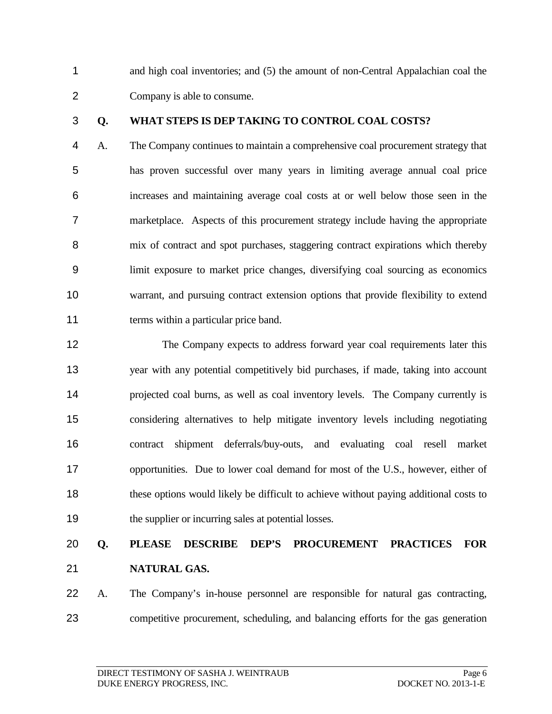and high coal inventories; and (5) the amount of non-Central Appalachian coal the Company is able to consume.

#### **Q. WHAT STEPS IS DEP TAKING TO CONTROL COAL COSTS?**

 A. The Company continues to maintain a comprehensive coal procurement strategy that has proven successful over many years in limiting average annual coal price increases and maintaining average coal costs at or well below those seen in the marketplace. Aspects of this procurement strategy include having the appropriate mix of contract and spot purchases, staggering contract expirations which thereby limit exposure to market price changes, diversifying coal sourcing as economics warrant, and pursuing contract extension options that provide flexibility to extend 11 terms within a particular price band.

 The Company expects to address forward year coal requirements later this year with any potential competitively bid purchases, if made, taking into account projected coal burns, as well as coal inventory levels. The Company currently is considering alternatives to help mitigate inventory levels including negotiating contract shipment deferrals/buy-outs, and evaluating coal resell market 17 opportunities. Due to lower coal demand for most of the U.S., however, either of these options would likely be difficult to achieve without paying additional costs to the supplier or incurring sales at potential losses.

## **Q. PLEASE DESCRIBE DEP'S PROCUREMENT PRACTICES FOR NATURAL GAS.**

 A. The Company's in-house personnel are responsible for natural gas contracting, competitive procurement, scheduling, and balancing efforts for the gas generation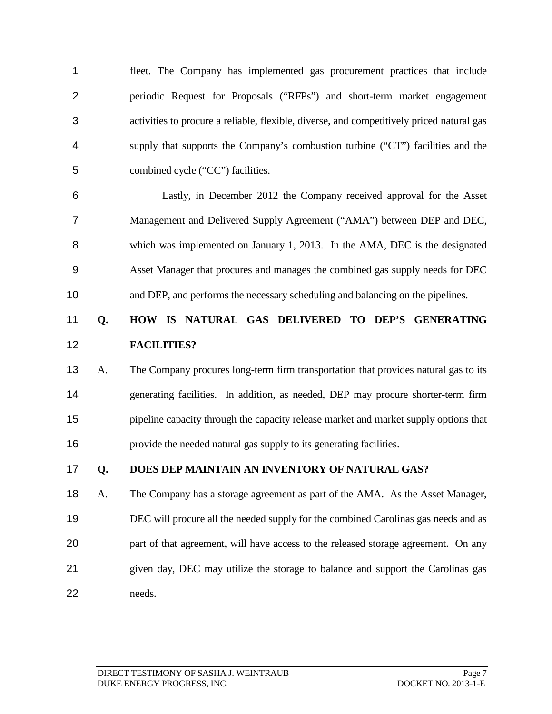fleet. The Company has implemented gas procurement practices that include periodic Request for Proposals ("RFPs") and short-term market engagement activities to procure a reliable, flexible, diverse, and competitively priced natural gas supply that supports the Company's combustion turbine ("CT") facilities and the combined cycle ("CC") facilities.

 Lastly, in December 2012 the Company received approval for the Asset Management and Delivered Supply Agreement ("AMA") between DEP and DEC, which was implemented on January 1, 2013. In the AMA, DEC is the designated Asset Manager that procures and manages the combined gas supply needs for DEC and DEP, and performs the necessary scheduling and balancing on the pipelines.

### **Q. HOW IS NATURAL GAS DELIVERED TO DEP'S GENERATING FACILITIES?**

 A. The Company procures long-term firm transportation that provides natural gas to its generating facilities. In addition, as needed, DEP may procure shorter-term firm pipeline capacity through the capacity release market and market supply options that provide the needed natural gas supply to its generating facilities.

### **Q. DOES DEP MAINTAIN AN INVENTORY OF NATURAL GAS?**

 A. The Company has a storage agreement as part of the AMA. As the Asset Manager, DEC will procure all the needed supply for the combined Carolinas gas needs and as part of that agreement, will have access to the released storage agreement. On any given day, DEC may utilize the storage to balance and support the Carolinas gas needs.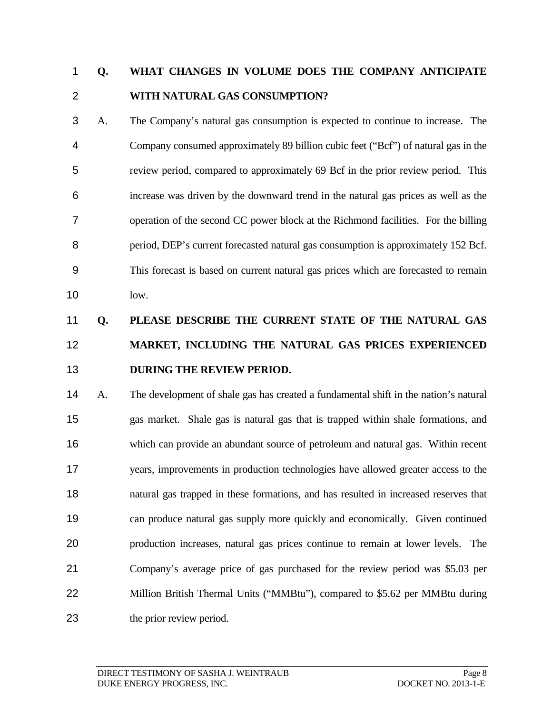## **Q. WHAT CHANGES IN VOLUME DOES THE COMPANY ANTICIPATE WITH NATURAL GAS CONSUMPTION?**

 A. The Company's natural gas consumption is expected to continue to increase. The Company consumed approximately 89 billion cubic feet ("Bcf") of natural gas in the review period, compared to approximately 69 Bcf in the prior review period. This increase was driven by the downward trend in the natural gas prices as well as the operation of the second CC power block at the Richmond facilities. For the billing period, DEP's current forecasted natural gas consumption is approximately 152 Bcf. This forecast is based on current natural gas prices which are forecasted to remain low.

# **Q. PLEASE DESCRIBE THE CURRENT STATE OF THE NATURAL GAS MARKET, INCLUDING THE NATURAL GAS PRICES EXPERIENCED DURING THE REVIEW PERIOD.**

 A. The development of shale gas has created a fundamental shift in the nation's natural gas market. Shale gas is natural gas that is trapped within shale formations, and which can provide an abundant source of petroleum and natural gas. Within recent years, improvements in production technologies have allowed greater access to the natural gas trapped in these formations, and has resulted in increased reserves that can produce natural gas supply more quickly and economically. Given continued production increases, natural gas prices continue to remain at lower levels. The Company's average price of gas purchased for the review period was \$5.03 per Million British Thermal Units ("MMBtu"), compared to \$5.62 per MMBtu during the prior review period.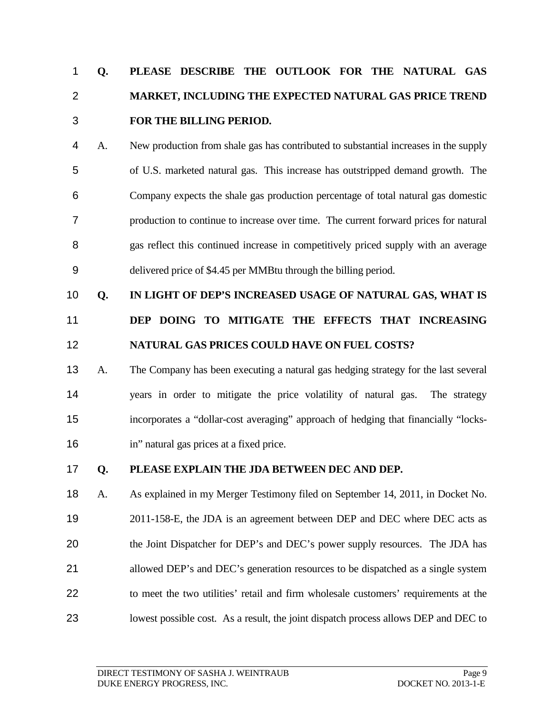# **Q. PLEASE DESCRIBE THE OUTLOOK FOR THE NATURAL GAS MARKET, INCLUDING THE EXPECTED NATURAL GAS PRICE TREND FOR THE BILLING PERIOD.**

- A. New production from shale gas has contributed to substantial increases in the supply of U.S. marketed natural gas. This increase has outstripped demand growth. The Company expects the shale gas production percentage of total natural gas domestic production to continue to increase over time. The current forward prices for natural gas reflect this continued increase in competitively priced supply with an average delivered price of \$4.45 per MMBtu through the billing period.
- **Q. IN LIGHT OF DEP'S INCREASED USAGE OF NATURAL GAS, WHAT IS**
- **DEP DOING TO MITIGATE THE EFFECTS THAT INCREASING NATURAL GAS PRICES COULD HAVE ON FUEL COSTS?**
- A. The Company has been executing a natural gas hedging strategy for the last several years in order to mitigate the price volatility of natural gas. The strategy incorporates a "dollar-cost averaging" approach of hedging that financially "locks-in" natural gas prices at a fixed price.

### **Q. PLEASE EXPLAIN THE JDA BETWEEN DEC AND DEP.**

 A. As explained in my Merger Testimony filed on September 14, 2011, in Docket No. 2011-158-E, the JDA is an agreement between DEP and DEC where DEC acts as the Joint Dispatcher for DEP's and DEC's power supply resources. The JDA has allowed DEP's and DEC's generation resources to be dispatched as a single system to meet the two utilities' retail and firm wholesale customers' requirements at the lowest possible cost. As a result, the joint dispatch process allows DEP and DEC to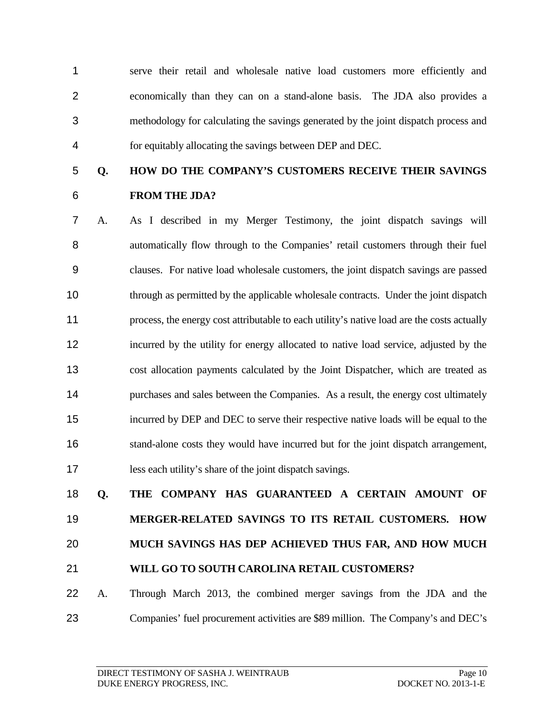serve their retail and wholesale native load customers more efficiently and economically than they can on a stand-alone basis. The JDA also provides a methodology for calculating the savings generated by the joint dispatch process and for equitably allocating the savings between DEP and DEC.

- **Q. HOW DO THE COMPANY'S CUSTOMERS RECEIVE THEIR SAVINGS FROM THE JDA?**
- A. As I described in my Merger Testimony, the joint dispatch savings will automatically flow through to the Companies' retail customers through their fuel clauses. For native load wholesale customers, the joint dispatch savings are passed through as permitted by the applicable wholesale contracts. Under the joint dispatch process, the energy cost attributable to each utility's native load are the costs actually incurred by the utility for energy allocated to native load service, adjusted by the cost allocation payments calculated by the Joint Dispatcher, which are treated as 14 purchases and sales between the Companies. As a result, the energy cost ultimately incurred by DEP and DEC to serve their respective native loads will be equal to the stand-alone costs they would have incurred but for the joint dispatch arrangement, less each utility's share of the joint dispatch savings.

# **Q. THE COMPANY HAS GUARANTEED A CERTAIN AMOUNT OF MERGER-RELATED SAVINGS TO ITS RETAIL CUSTOMERS. HOW MUCH SAVINGS HAS DEP ACHIEVED THUS FAR, AND HOW MUCH WILL GO TO SOUTH CAROLINA RETAIL CUSTOMERS?**

- A. Through March 2013, the combined merger savings from the JDA and the
- Companies' fuel procurement activities are \$89 million. The Company's and DEC's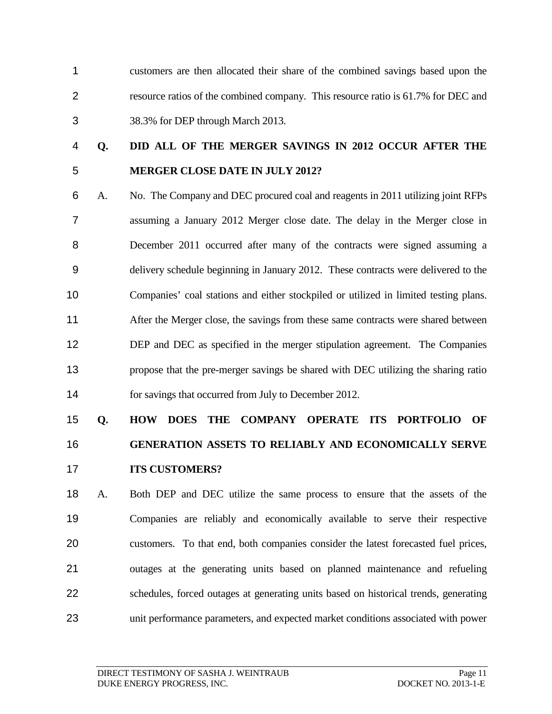customers are then allocated their share of the combined savings based upon the resource ratios of the combined company. This resource ratio is 61.7% for DEC and 38.3% for DEP through March 2013.

## **Q. DID ALL OF THE MERGER SAVINGS IN 2012 OCCUR AFTER THE MERGER CLOSE DATE IN JULY 2012?**

 A. No. The Company and DEC procured coal and reagents in 2011 utilizing joint RFPs assuming a January 2012 Merger close date. The delay in the Merger close in December 2011 occurred after many of the contracts were signed assuming a delivery schedule beginning in January 2012. These contracts were delivered to the Companies' coal stations and either stockpiled or utilized in limited testing plans. After the Merger close, the savings from these same contracts were shared between 12 DEP and DEC as specified in the merger stipulation agreement. The Companies propose that the pre-merger savings be shared with DEC utilizing the sharing ratio 14 for savings that occurred from July to December 2012.

# **Q. HOW DOES THE COMPANY OPERATE ITS PORTFOLIO OF GENERATION ASSETS TO RELIABLY AND ECONOMICALLY SERVE ITS CUSTOMERS?**

 A. Both DEP and DEC utilize the same process to ensure that the assets of the Companies are reliably and economically available to serve their respective customers. To that end, both companies consider the latest forecasted fuel prices, outages at the generating units based on planned maintenance and refueling schedules, forced outages at generating units based on historical trends, generating unit performance parameters, and expected market conditions associated with power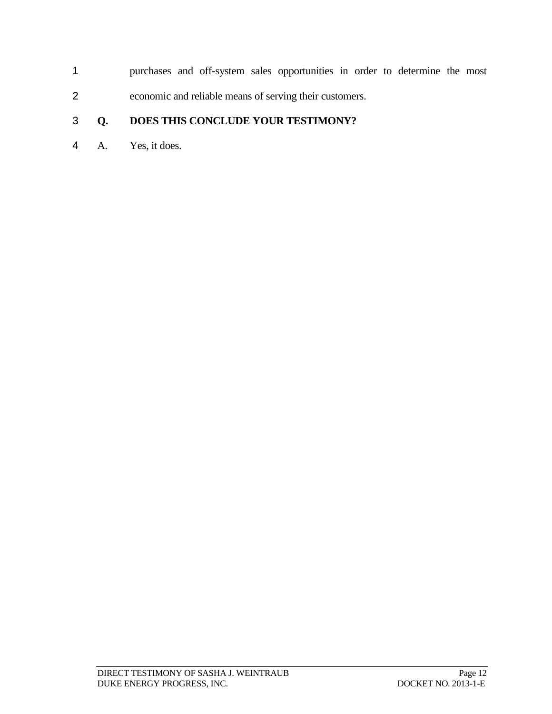purchases and off-system sales opportunities in order to determine the most economic and reliable means of serving their customers.

### **Q. DOES THIS CONCLUDE YOUR TESTIMONY?**

A. Yes, it does.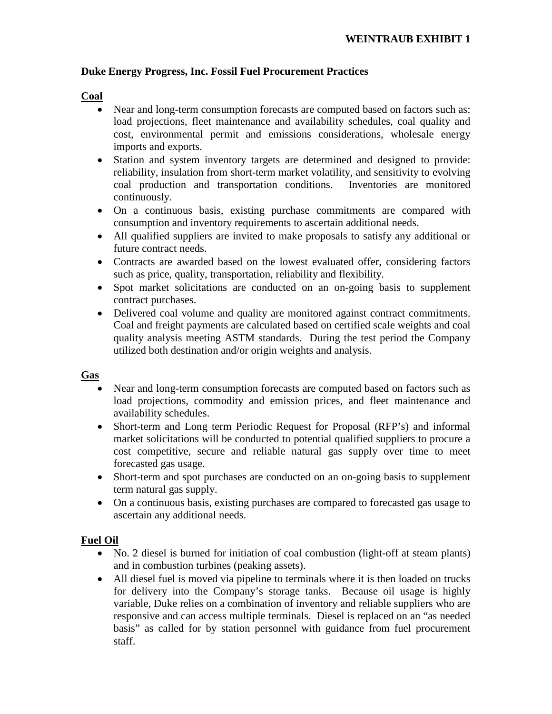#### **Duke Energy Progress, Inc. Fossil Fuel Procurement Practices**

#### **Coal**

- Near and long-term consumption forecasts are computed based on factors such as: load projections, fleet maintenance and availability schedules, coal quality and cost, environmental permit and emissions considerations, wholesale energy imports and exports.
- Station and system inventory targets are determined and designed to provide: reliability, insulation from short-term market volatility, and sensitivity to evolving coal production and transportation conditions. Inventories are monitored continuously.
- On a continuous basis, existing purchase commitments are compared with consumption and inventory requirements to ascertain additional needs.
- All qualified suppliers are invited to make proposals to satisfy any additional or future contract needs.
- Contracts are awarded based on the lowest evaluated offer, considering factors such as price, quality, transportation, reliability and flexibility.
- Spot market solicitations are conducted on an on-going basis to supplement contract purchases.
- Delivered coal volume and quality are monitored against contract commitments. Coal and freight payments are calculated based on certified scale weights and coal quality analysis meeting ASTM standards. During the test period the Company utilized both destination and/or origin weights and analysis.

#### **Gas**

- Near and long-term consumption forecasts are computed based on factors such as load projections, commodity and emission prices, and fleet maintenance and availability schedules.
- Short-term and Long term Periodic Request for Proposal (RFP's) and informal market solicitations will be conducted to potential qualified suppliers to procure a cost competitive, secure and reliable natural gas supply over time to meet forecasted gas usage.
- Short-term and spot purchases are conducted on an on-going basis to supplement term natural gas supply.
- On a continuous basis, existing purchases are compared to forecasted gas usage to ascertain any additional needs.

### **Fuel Oil**

- No. 2 diesel is burned for initiation of coal combustion (light-off at steam plants) and in combustion turbines (peaking assets).
- All diesel fuel is moved via pipeline to terminals where it is then loaded on trucks for delivery into the Company's storage tanks. Because oil usage is highly variable, Duke relies on a combination of inventory and reliable suppliers who are responsive and can access multiple terminals. Diesel is replaced on an "as needed basis" as called for by station personnel with guidance from fuel procurement staff.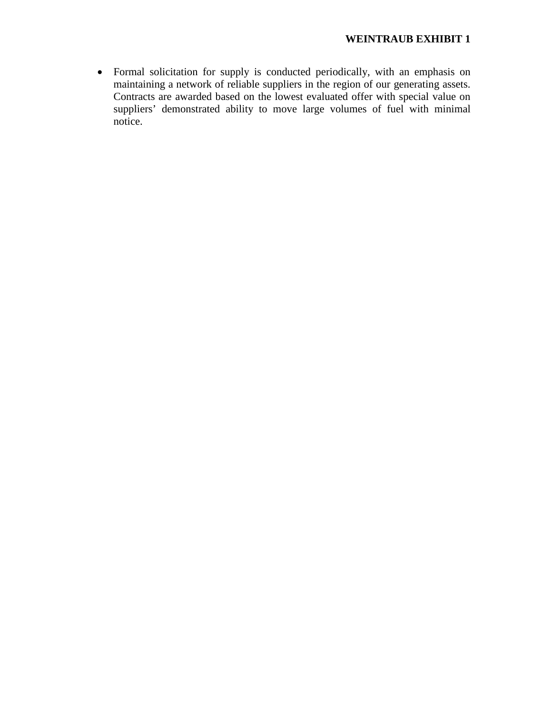• Formal solicitation for supply is conducted periodically, with an emphasis on maintaining a network of reliable suppliers in the region of our generating assets. Contracts are awarded based on the lowest evaluated offer with special value on suppliers' demonstrated ability to move large volumes of fuel with minimal notice.